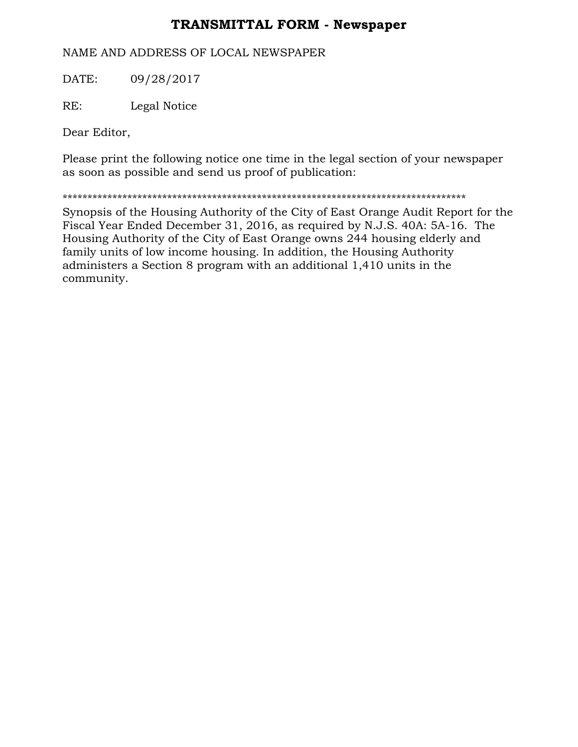## **TRANSMITTAL FORM - Newspaper**

## NAME AND ADDRESS OF LOCAL NEWSPAPER

DATE: 09/28/2017

RE: Legal Notice

Dear Editor,

Please print the following notice one time in the legal section of your newspaper as soon as possible and send us proof of publication:

\*\*\*\*\*\*\*\*\*\*\*\*\*\*\*\*\*\*\*\*\*\*\*\*\*\*\*\*\*\*\*\*\*\*\*\*\*\*\*\*\*\*\*\*\*\*\*\*\*\*\*\*\*\*\*\*\*\*\*\*\*\*\*\*\*\*\*\*\*\*\*\*\*\*\*\*\*\*\*\*\*

Synopsis of the Housing Authority of the City of East Orange Audit Report for the Fiscal Year Ended December 31, 2016, as required by N.J.S. 40A: 5A-16. The Housing Authority of the City of East Orange owns 244 housing elderly and family units of low income housing. In addition, the Housing Authority administers a Section 8 program with an additional 1,410 units in the community.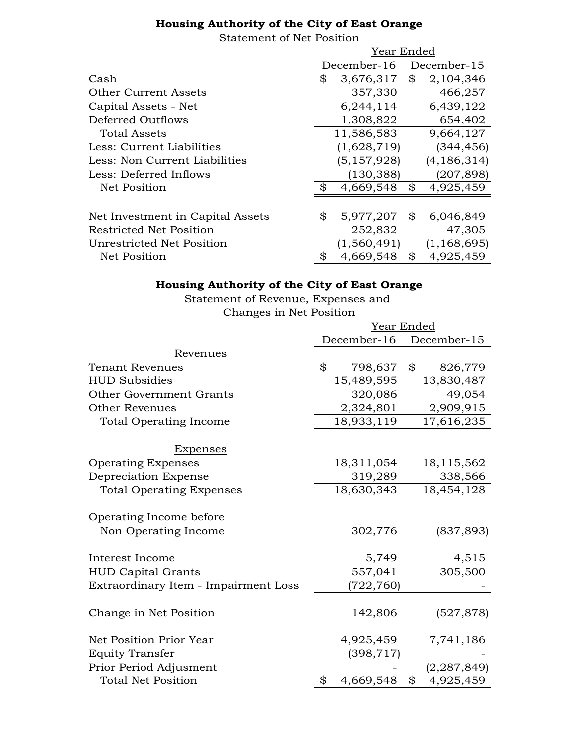## **Housing Authority of the City of East Orange**

Statement of Net Position

|                                  | Year Ended      |    |               |
|----------------------------------|-----------------|----|---------------|
|                                  | December-16     |    | December-15   |
| Cash                             | \$<br>3,676,317 | \$ | 2,104,346     |
| Other Current Assets             | 357,330         |    | 466,257       |
| Capital Assets - Net             | 6,244,114       |    | 6,439,122     |
| Deferred Outflows                | 1,308,822       |    | 654,402       |
| <b>Total Assets</b>              | 11,586,583      |    | 9,664,127     |
| Less: Current Liabilities        | (1,628,719)     |    | (344, 456)    |
| Less: Non Current Liabilities    | (5, 157, 928)   |    | (4, 186, 314) |
| Less: Deferred Inflows           | (130, 388)      |    | (207, 898)    |
| Net Position                     | 4,669,548       | \$ | 4,925,459     |
|                                  |                 |    |               |
| Net Investment in Capital Assets | \$<br>5,977,207 | \$ | 6,046,849     |
| Restricted Net Position          | 252,832         |    | 47,305        |
| Unrestricted Net Position        | (1, 560, 491)   |    | (1, 168, 695) |
| Net Position                     | \$<br>4,669,548 | \$ | 4,925,459     |

## **Housing Authority of the City of East Orange**

Statement of Revenue, Expenses and Changes in Net Position

|                                      | Year Ended       |                 |  |
|--------------------------------------|------------------|-----------------|--|
|                                      | December-16      | December-15     |  |
| Revenues                             |                  |                 |  |
| <b>Tenant Revenues</b>               | \$<br>798,637 \$ | 826,779         |  |
| <b>HUD Subsidies</b>                 | 15,489,595       | 13,830,487      |  |
| Other Government Grants              | 320,086          | 49,054          |  |
| <b>Other Revenues</b>                | 2,324,801        | 2,909,915       |  |
| <b>Total Operating Income</b>        | 18,933,119       | 17,616,235      |  |
| Expenses                             |                  |                 |  |
| <b>Operating Expenses</b>            | 18,311,054       | 18,115,562      |  |
| Depreciation Expense                 | 319,289          | 338,566         |  |
| <b>Total Operating Expenses</b>      | 18,630,343       | 18,454,128      |  |
| Operating Income before              |                  |                 |  |
| Non Operating Income                 | 302,776          | (837, 893)      |  |
| Interest Income                      | 5,749            | 4,515           |  |
| <b>HUD Capital Grants</b>            | 557,041          | 305,500         |  |
| Extraordinary Item - Impairment Loss | (722,760)        |                 |  |
| Change in Net Position               | 142,806          | (527, 878)      |  |
| Net Position Prior Year              | 4,925,459        | 7,741,186       |  |
| <b>Equity Transfer</b>               | (398, 717)       |                 |  |
| Prior Period Adjusment               |                  | (2, 287, 849)   |  |
| <b>Total Net Position</b>            | 4,669,548<br>\$  | \$<br>4,925,459 |  |